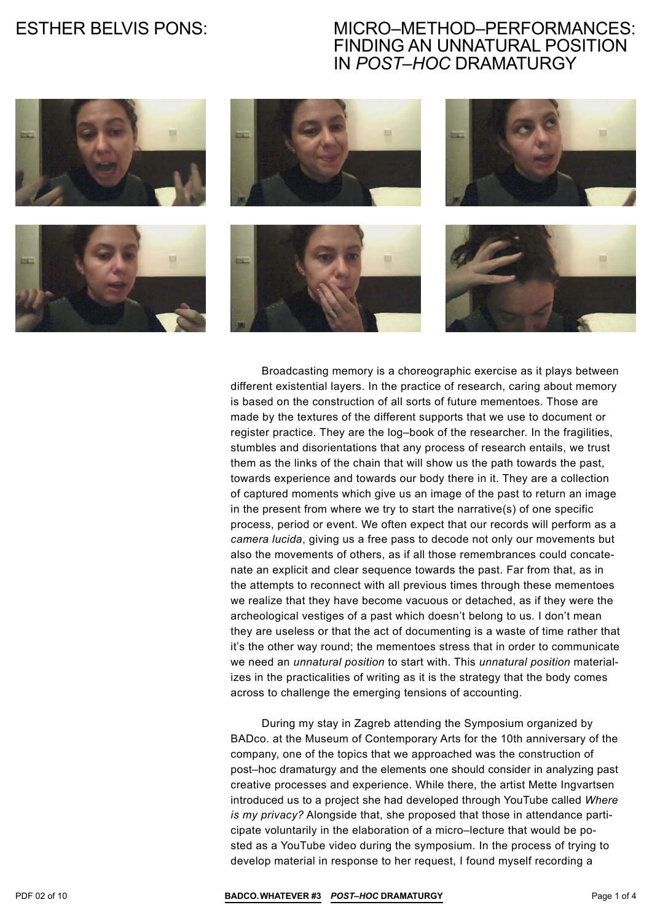### Micro–Method–Performances: Finding An Unnatural Position In *Post–Hoc* Dramaturgy



Broadcasting memory is a choreographic exercise as it plays between different existential layers. In the practice of research, caring about memory is based on the construction of all sorts of future mementoes. Those are made by the textures of the different supports that we use to document or register practice. They are the log–book of the researcher. In the fragilities, stumbles and disorientations that any process of research entails, we trust them as the links of the chain that will show us the path towards the past, towards experience and towards our body there in it. They are a collection of captured moments which give us an image of the past to return an image in the present from where we try to start the narrative(s) of one specific process, period or event. We often expect that our records will perform as a *camera lucida*, giving us a free pass to decode not only our movements but also the movements of others, as if all those remembrances could concatenate an explicit and clear sequence towards the past. Far from that, as in the attempts to reconnect with all previous times through these mementoes we realize that they have become vacuous or detached, as if they were the archeological vestiges of a past which doesn't belong to us. I don't mean they are useless or that the act of documenting is a waste of time rather that it's the other way round; the mementoes stress that in order to communicate we need an *unnatural position* to start with. This *unnatural position* materializes in the practicalities of writing as it is the strategy that the body comes across to challenge the emerging tensions of accounting.

During my stay in Zagreb attending the Symposium organized by BADco. at the Museum of Contemporary Arts for the 10th anniversary of the company, one of the topics that we approached was the construction of post–hoc dramaturgy and the elements one should consider in analyzing past creative processes and experience. While there, the artist Mette Ingvartsen introduced us to a project she had developed through YouTube called *Where is my privacy?* Alongside that, she proposed that those in attendance participate voluntarily in the elaboration of a micro–lecture that would be posted as a YouTube video during the symposium. In the process of trying to develop material in response to her request, I found myself recording a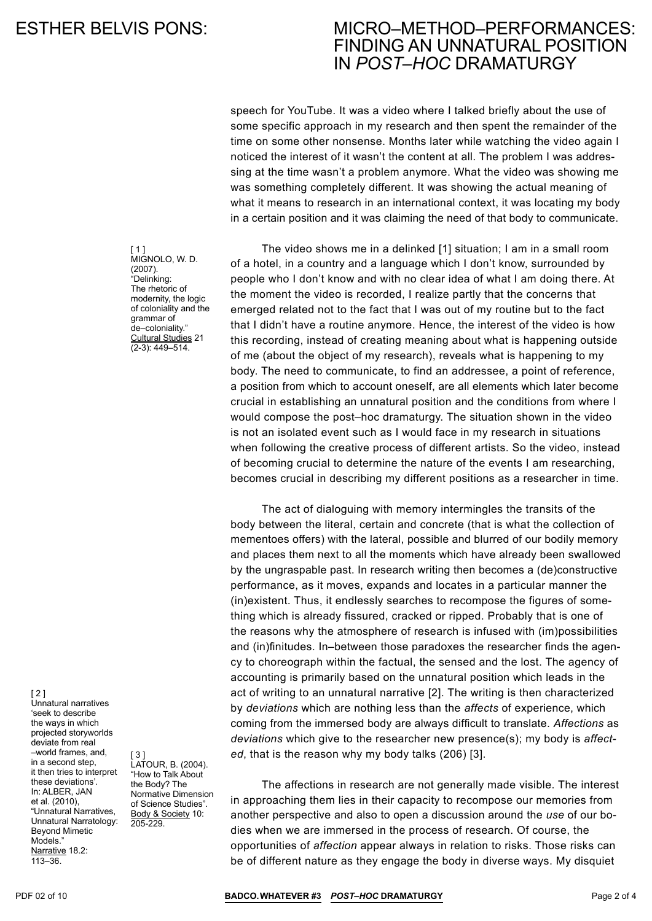### Micro–Method–Performances: Finding An Unnatural Position In *Post–Hoc* Dramaturgy

speech for YouTube. It was a video where I talked briefly about the use of some specific approach in my research and then spent the remainder of the time on some other nonsense. Months later while watching the video again I noticed the interest of it wasn't the content at all. The problem I was addressing at the time wasn't a problem anymore. What the video was showing me was something completely different. It was showing the actual meaning of what it means to research in an international context, it was locating my body in a certain position and it was claiming the need of that body to communicate.

The video shows me in a delinked [1] situation; I am in a small room of a hotel, in a country and a language which I don't know, surrounded by people who I don't know and with no clear idea of what I am doing there. At the moment the video is recorded, I realize partly that the concerns that emerged related not to the fact that I was out of my routine but to the fact that I didn't have a routine anymore. Hence, the interest of the video is how this recording, instead of creating meaning about what is happening outside of me (about the object of my research), reveals what is happening to my body. The need to communicate, to find an addressee, a point of reference, a position from which to account oneself, are all elements which later become crucial in establishing an unnatural position and the conditions from where I would compose the post–hoc dramaturgy. The situation shown in the video is not an isolated event such as I would face in my research in situations when following the creative process of different artists. So the video, instead of becoming crucial to determine the nature of the events I am researching, becomes crucial in describing my different positions as a researcher in time.

The act of dialoguing with memory intermingles the transits of the body between the literal, certain and concrete (that is what the collection of mementoes offers) with the lateral, possible and blurred of our bodily memory and places them next to all the moments which have already been swallowed by the ungraspable past. In research writing then becomes a (de)constructive performance, as it moves, expands and locates in a particular manner the (in)existent. Thus, it endlessly searches to recompose the figures of something which is already fissured, cracked or ripped. Probably that is one of the reasons why the atmosphere of research is infused with (im)possibilities and (in)finitudes. In–between those paradoxes the researcher finds the agency to choreograph within the factual, the sensed and the lost. The agency of accounting is primarily based on the unnatural position which leads in the act of writing to an unnatural narrative [2]. The writing is then characterized by *deviations* which are nothing less than the *affects* of experience, which coming from the immersed body are always difficult to translate. *Affections* as *deviations* which give to the researcher new presence(s); my body is *affected*, that is the reason why my body talks (206) [3].

The affections in research are not generally made visible. The interest in approaching them lies in their capacity to recompose our memories from another perspective and also to open a discussion around the *use* of our bodies when we are immersed in the process of research. Of course, the opportunities of *affection* appear always in relation to risks. Those risks can be of different nature as they engage the body in diverse ways. My disquiet

[ 1 ] MIGNOLO, W. D. (2007). "Delinking: The rhetoric of modernity, the logic of coloniality and the grammar of de–coloniality." Cultural Studies 21 (2-3): 449–514.

[ 2 ]

Unnatural narratives 'seek to describe the ways in which projected storyworlds deviate from real –world frames, and, in a second step, it then tries to interpret these deviations'. In: ALBER, JAN et al. (2010), "Unnatural Narratives, Unnatural Narratology: Beyond Mimetic Models<sup>'</sup> Narrative 18.2: 113–36.

[ 3 ] Latour, B. (2004). "How to Talk About the Body? The Normative Dimension of Science Studies". Body & Society 10: 205-229.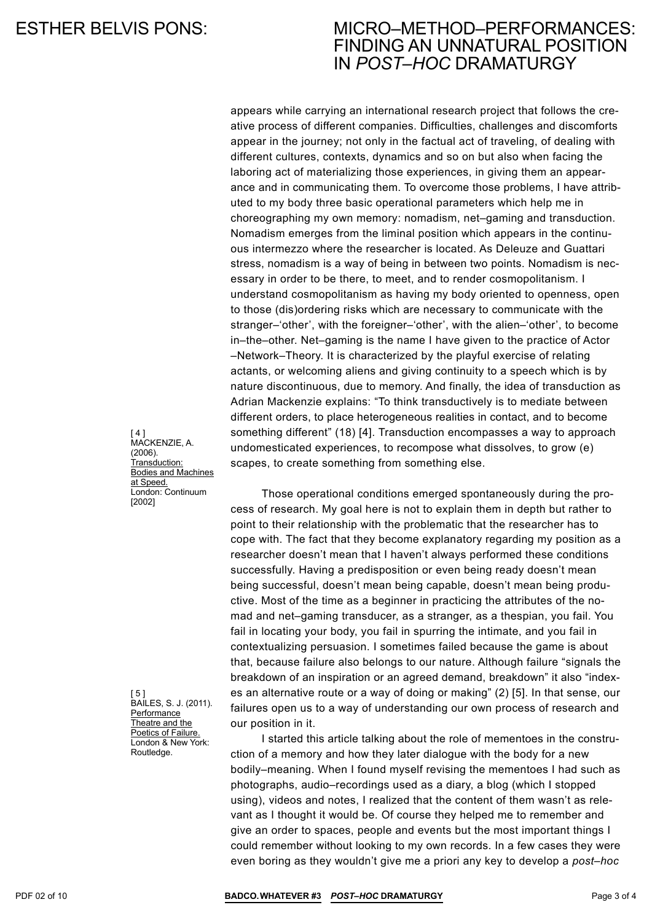### Micro–Method–Performances: Finding An Unnatural Position In *Post–Hoc* Dramaturgy

appears while carrying an international research project that follows the creative process of different companies. Difficulties, challenges and discomforts appear in the journey; not only in the factual act of traveling, of dealing with different cultures, contexts, dynamics and so on but also when facing the laboring act of materializing those experiences, in giving them an appearance and in communicating them. To overcome those problems, I have attributed to my body three basic operational parameters which help me in choreographing my own memory: nomadism, net–gaming and transduction. Nomadism emerges from the liminal position which appears in the continuous intermezzo where the researcher is located. As Deleuze and Guattari stress, nomadism is a way of being in between two points. Nomadism is necessary in order to be there, to meet, and to render cosmopolitanism. I understand cosmopolitanism as having my body oriented to openness, open to those (dis)ordering risks which are necessary to communicate with the stranger–'other', with the foreigner–'other', with the alien–'other', to become in–the–other. Net–gaming is the name I have given to the practice of Actor –Network–Theory. It is characterized by the playful exercise of relating actants, or welcoming aliens and giving continuity to a speech which is by nature discontinuous, due to memory. And finally, the idea of transduction as Adrian Mackenzie explains: "To think transductively is to mediate between different orders, to place heterogeneous realities in contact, and to become something different" (18) [4]. Transduction encompasses a way to approach undomesticated experiences, to recompose what dissolves, to grow (e) scapes, to create something from something else.

Those operational conditions emerged spontaneously during the process of research. My goal here is not to explain them in depth but rather to point to their relationship with the problematic that the researcher has to cope with. The fact that they become explanatory regarding my position as a researcher doesn't mean that I haven't always performed these conditions successfully. Having a predisposition or even being ready doesn't mean being successful, doesn't mean being capable, doesn't mean being productive. Most of the time as a beginner in practicing the attributes of the nomad and net–gaming transducer, as a stranger, as a thespian, you fail. You fail in locating your body, you fail in spurring the intimate, and you fail in contextualizing persuasion. I sometimes failed because the game is about that, because failure also belongs to our nature. Although failure "signals the breakdown of an inspiration or an agreed demand, breakdown" it also "indexes an alternative route or a way of doing or making" (2) [5]. In that sense, our failures open us to a way of understanding our own process of research and our position in it.

I started this article talking about the role of mementoes in the construction of a memory and how they later dialogue with the body for a new bodily–meaning. When I found myself revising the mementoes I had such as photographs, audio–recordings used as a diary, a blog (which I stopped using), videos and notes, I realized that the content of them wasn't as relevant as I thought it would be. Of course they helped me to remember and give an order to spaces, people and events but the most important things I could remember without looking to my own records. In a few cases they were even boring as they wouldn't give me a priori any key to develop a *post–hoc*

 $[4]$ MacKenzie, A. (2006). Transduction: Bodies and Machines at Speed. London: Continuum [2002]

[ 5 ] Bailes, S. J. (2011). **Performance** Theatre and the Poetics of Failure. London & New York: Routledge.